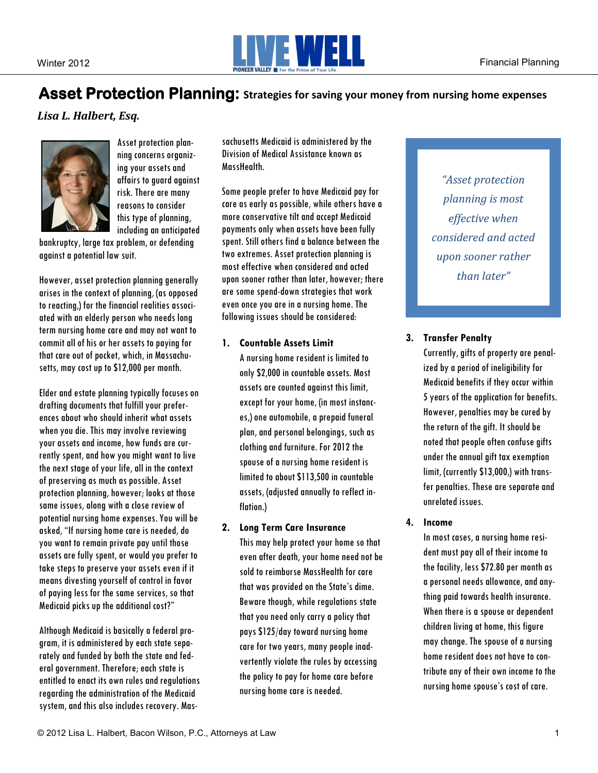

# Asset Protection Planning: Strategies for saving your money from nursing home expenses

Lisa L. Halbert, Esg.



Asset protection planning concerns organizing your assets and affairs to guard against risk. There are many reasons to consider this type of planning, including an anticipated

bankruptcy, large tax problem, or defending against a potential law suit.

However, asset protection planning generally arises in the context of planning, (as opposed to reacting,) for the financial realities associated with an elderly person who needs long term nursing home care and may not want to commit all of his or her assets to paying for that care out of pocket, which, in Massachusetts, may cost up to \$12,000 per month.

Elder and estate planning typically focuses on drafting documents that fulfill your preferences about who should inherit what assets when you die. This may involve reviewing your assets and income, how funds are currently spent, and how you might want to live the next stage of your life, all in the context of preserving as much as possible. Asset protection planning, however; looks at those same issues, along with a close review of potential nursing home expenses. You will be asked, "If nursing home care is needed, do you want to remain private pay until those assets are fully spent, or would you prefer to take steps to preserve your assets even if it means divesting yourself of control in favor of paying less for the same services, so that Medicaid picks up the additional cost?"

Although Medicaid is basically a federal program, it is administered by each state separately and funded by both the state and federal government. Therefore; each state is entitled to enact its own rules and regulations regarding the administration of the Medicaid system, and this also includes recovery. Massachusetts Medicaid is administered by the Division of Medical Assistance known as MassHealth.

Some people prefer to have Medicaid pay for care as early as possible, while others have a more conservative tilt and accept Medicaid payments only when assets have been fully spent. Still others find a balance between the two extremes. Asset protection planning is most effective when considered and acted upon sooner rather than later, however; there are some spend-down strategies that work even once you are in a nursing home. The following issues should be considered:

### **1. Countable Assets Limit**

A nursing home resident is limited to only \$2,000 in countable assets. Most assets are counted against this limit, except for your home, (in most instances,) one automobile, a prepaid funeral plan, and personal belongings, such as clothing and furniture. For 2012 the spouse of a nursing home resident is limited to about \$113,500 in countable assets, (adjusted annually to reflect inflation.)

## **2. Long Term Care Insurance**

This may help protect your home so that even after death, your home need not be sold to reimburse MassHealth for care that was provided on the State's dime. Beware though, while regulations state that you need only carry a policy that pays \$125/day toward nursing home care for two years, many people inadvertently violate the rules by accessing the policy to pay for home care before nursing home care is needed.

*"Asset protection planning is most effective* when *considered and acted upon sooner rather than later"*

# **3. Transfer Penalty**

Currently, gifts of property are penalized by a period of ineligibility for Medicaid benefits if they occur within 5 years of the application for benefits. However, penalties may be cured by the return of the gift. It should be noted that people often confuse gifts under the annual gift tax exemption limit, (currently \$13,000,) with transfer penalties. These are separate and unrelated issues.

## **4. Income**

In most cases, a nursing home resident must pay all of their income to the facility, less \$72.80 per month as a personal needs allowance, and anything paid towards health insurance. When there is a spouse or dependent children living at home, this figure may change. The spouse of a nursing home resident does not have to contribute any of their own income to the nursing home spouse's cost of care.